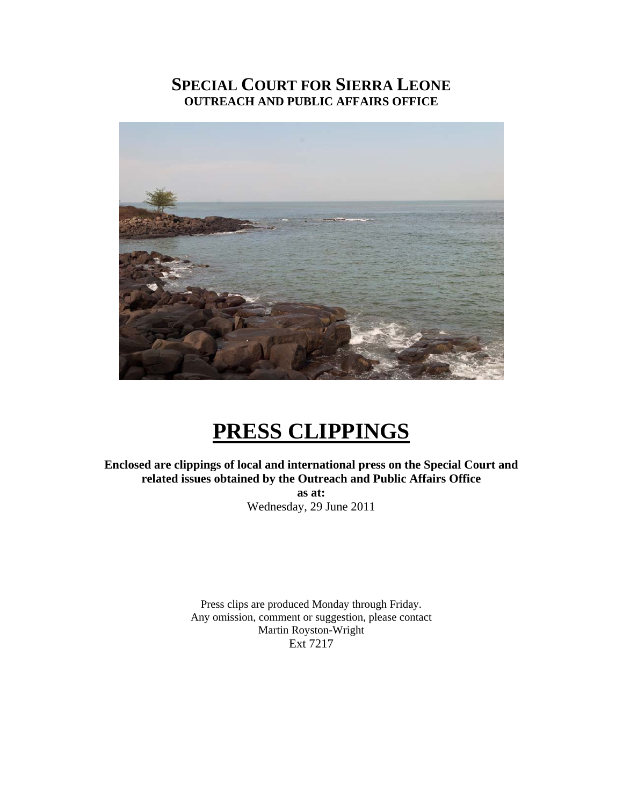## **SPECIAL COURT FOR SIERRA LEONE OUTREACH AND PUBLIC AFFAIRS OFFICE**



# **PRESS CLIPPINGS**

**Enclosed are clippings of local and international press on the Special Court and related issues obtained by the Outreach and Public Affairs Office** 

> **as at:**  Wednesday, 29 June 2011

Press clips are produced Monday through Friday. Any omission, comment or suggestion, please contact Martin Royston-Wright Ext 7217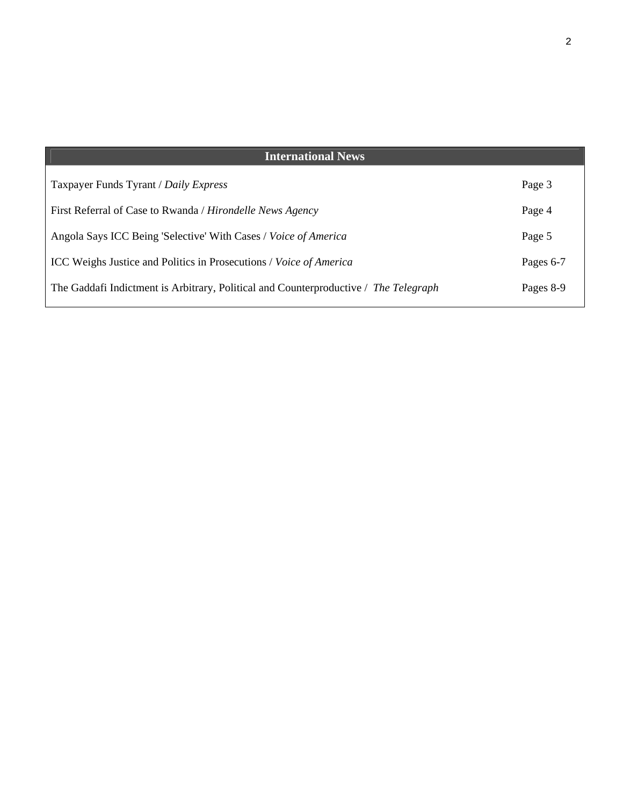| <b>International News</b>                                                            |           |
|--------------------------------------------------------------------------------------|-----------|
| Taxpayer Funds Tyrant / Daily Express                                                | Page 3    |
|                                                                                      |           |
| First Referral of Case to Rwanda / Hirondelle News Agency                            | Page 4    |
| Angola Says ICC Being 'Selective' With Cases / Voice of America                      | Page 5    |
| ICC Weighs Justice and Politics in Prosecutions / Voice of America                   | Pages 6-7 |
| The Gaddafi Indictment is Arbitrary, Political and Counterproductive / The Telegraph | Pages 8-9 |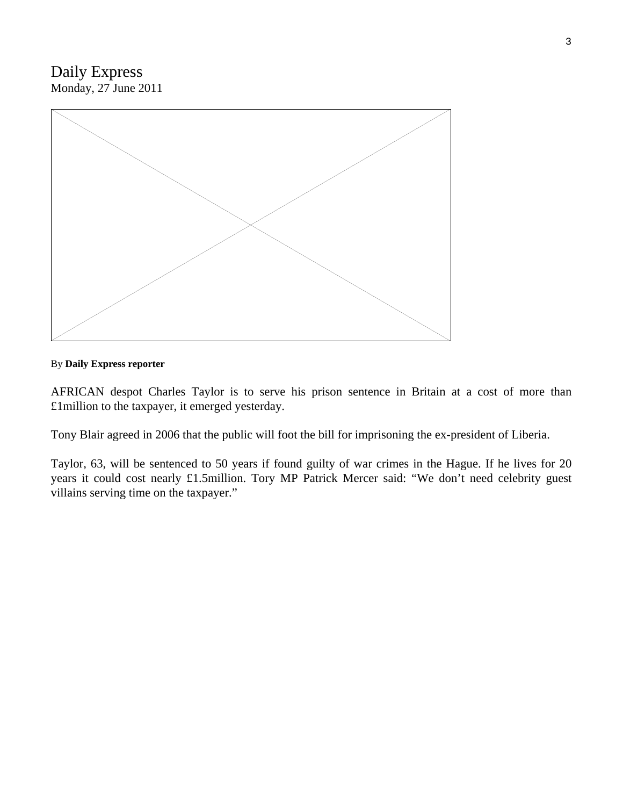## Daily Express Monday, 27 June 2011



#### By **Daily Express reporter**

AFRICAN despot Charles Taylor is to serve his prison sentence in Britain at a cost of more than £1million to the taxpayer, it emerged yesterday.

Tony Blair agreed in 2006 that the public will foot the bill for imprisoning the ex-president of Liberia.

Taylor, 63, will be sentenced to 50 years if found guilty of war crimes in the Hague. If he lives for 20 years it could cost nearly £1.5million. Tory MP Patrick Mercer said: "We don't need celebrity guest villains serving time on the taxpayer."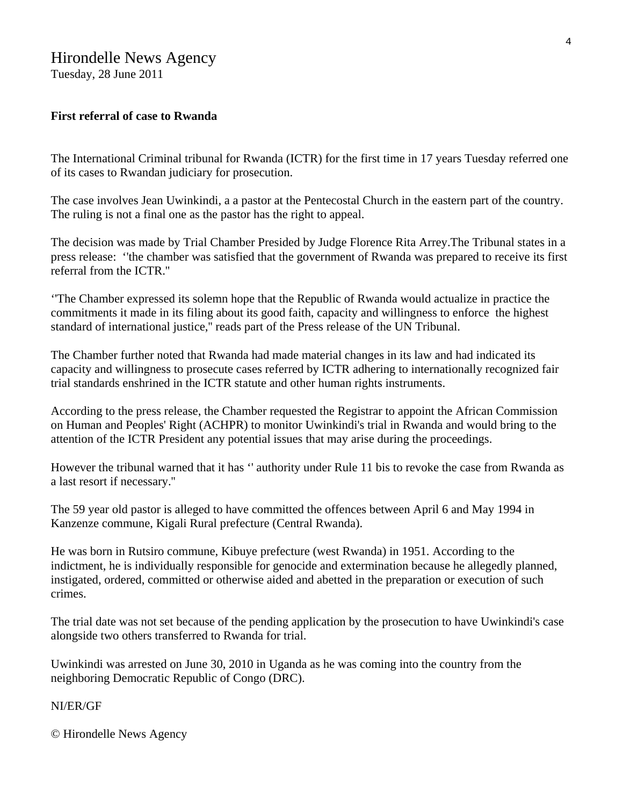## Hirondelle News Agency

Tuesday, 28 June 2011

## **First referral of case to Rwanda**

The International Criminal tribunal for Rwanda (ICTR) for the first time in 17 years Tuesday referred one of its cases to Rwandan judiciary for prosecution.

The case involves Jean Uwinkindi, a a pastor at the Pentecostal Church in the eastern part of the country. The ruling is not a final one as the pastor has the right to appeal.

The decision was made by Trial Chamber Presided by Judge Florence Rita Arrey.The Tribunal states in a press release: ''the chamber was satisfied that the government of Rwanda was prepared to receive its first referral from the ICTR.''

''The Chamber expressed its solemn hope that the Republic of Rwanda would actualize in practice the commitments it made in its filing about its good faith, capacity and willingness to enforce the highest standard of international justice,'' reads part of the Press release of the UN Tribunal.

The Chamber further noted that Rwanda had made material changes in its law and had indicated its capacity and willingness to prosecute cases referred by ICTR adhering to internationally recognized fair trial standards enshrined in the ICTR statute and other human rights instruments.

According to the press release, the Chamber requested the Registrar to appoint the African Commission on Human and Peoples' Right (ACHPR) to monitor Uwinkindi's trial in Rwanda and would bring to the attention of the ICTR President any potential issues that may arise during the proceedings.

However the tribunal warned that it has '' authority under Rule 11 bis to revoke the case from Rwanda as a last resort if necessary.''

The 59 year old pastor is alleged to have committed the offences between April 6 and May 1994 in Kanzenze commune, Kigali Rural prefecture (Central Rwanda).

He was born in Rutsiro commune, Kibuye prefecture (west Rwanda) in 1951. According to the indictment, he is individually responsible for genocide and extermination because he allegedly planned, instigated, ordered, committed or otherwise aided and abetted in the preparation or execution of such crimes.

The trial date was not set because of the pending application by the prosecution to have Uwinkindi's case alongside two others transferred to Rwanda for trial.

Uwinkindi was arrested on June 30, 2010 in Uganda as he was coming into the country from the neighboring Democratic Republic of Congo (DRC).

#### NI/ER/GF

© Hirondelle News Agency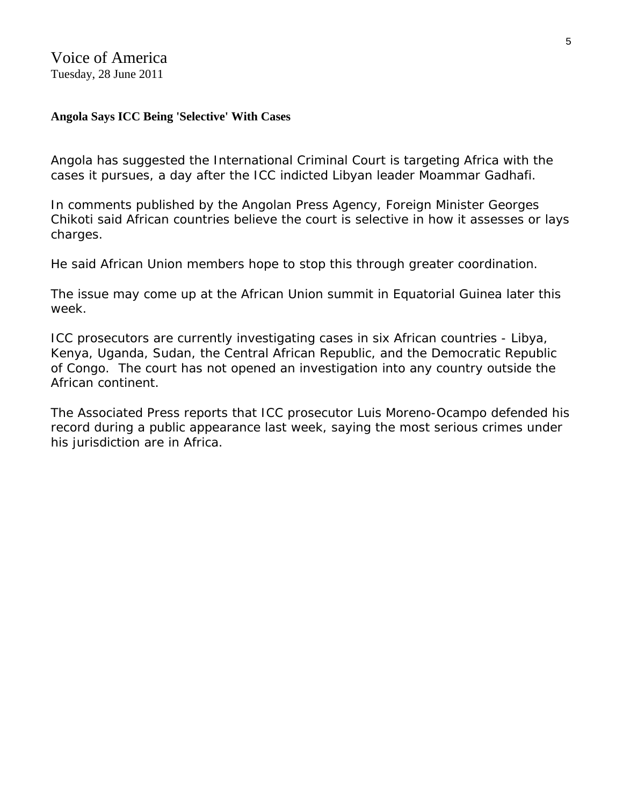Voice of America Tuesday, 28 June 2011

## **Angola Says ICC Being 'Selective' With Cases**

Angola has suggested the International Criminal Court is targeting Africa with the cases it pursues, a day after the ICC indicted Libyan leader Moammar Gadhafi.

In comments published by the Angolan Press Agency, Foreign Minister Georges Chikoti said African countries believe the court is selective in how it assesses or lays charges.

He said African Union members hope to stop this through greater coordination.

The issue may come up at the African Union summit in Equatorial Guinea later this week.

ICC prosecutors are currently investigating cases in six African countries - Libya, Kenya, Uganda, Sudan, the Central African Republic, and the Democratic Republic of Congo. The court has not opened an investigation into any country outside the African continent.

The Associated Press reports that ICC prosecutor Luis Moreno-Ocampo defended his record during a public appearance last week, saying the most serious crimes under his jurisdiction are in Africa.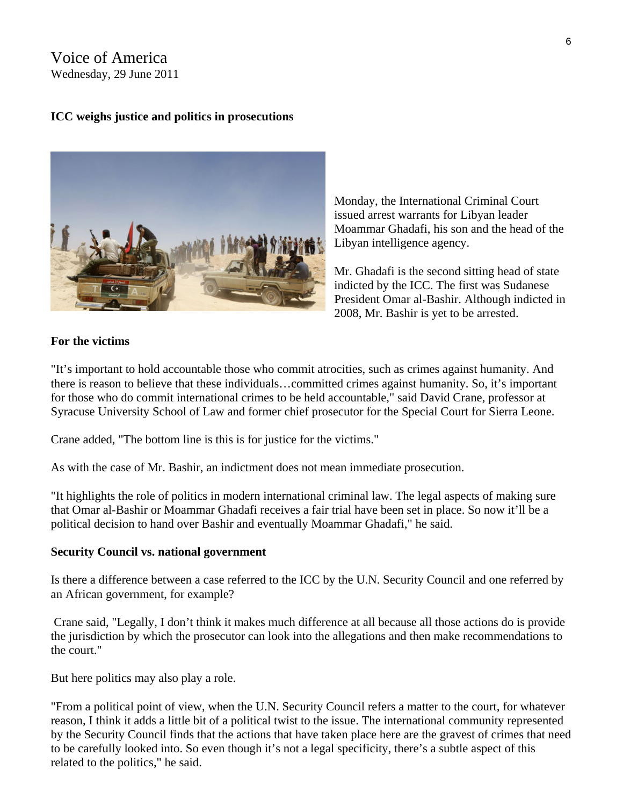## Voice of America Wednesday, 29 June 2011

## **ICC weighs justice and politics in prosecutions**



Monday, the International Criminal Court issued arrest warrants for Libyan leader Moammar Ghadafi, his son and the head of the Libyan intelligence agency.

Mr. Ghadafi is the second sitting head of state indicted by the ICC. The first was Sudanese President Omar al-Bashir. Although indicted in 2008, Mr. Bashir is yet to be arrested.

## **For the victims**

"It's important to hold accountable those who commit atrocities, such as crimes against humanity. And there is reason to believe that these individuals…committed crimes against humanity. So, it's important for those who do commit international crimes to be held accountable," said David Crane, professor at Syracuse University School of Law and former chief prosecutor for the Special Court for Sierra Leone.

Crane added, "The bottom line is this is for justice for the victims."

As with the case of Mr. Bashir, an indictment does not mean immediate prosecution.

"It highlights the role of politics in modern international criminal law. The legal aspects of making sure that Omar al-Bashir or Moammar Ghadafi receives a fair trial have been set in place. So now it'll be a political decision to hand over Bashir and eventually Moammar Ghadafi," he said.

## **Security Council vs. national government**

Is there a difference between a case referred to the ICC by the U.N. Security Council and one referred by an African government, for example?

 Crane said, "Legally, I don't think it makes much difference at all because all those actions do is provide the jurisdiction by which the prosecutor can look into the allegations and then make recommendations to the court."

But here politics may also play a role.

"From a political point of view, when the U.N. Security Council refers a matter to the court, for whatever reason, I think it adds a little bit of a political twist to the issue. The international community represented by the Security Council finds that the actions that have taken place here are the gravest of crimes that need to be carefully looked into. So even though it's not a legal specificity, there's a subtle aspect of this related to the politics," he said.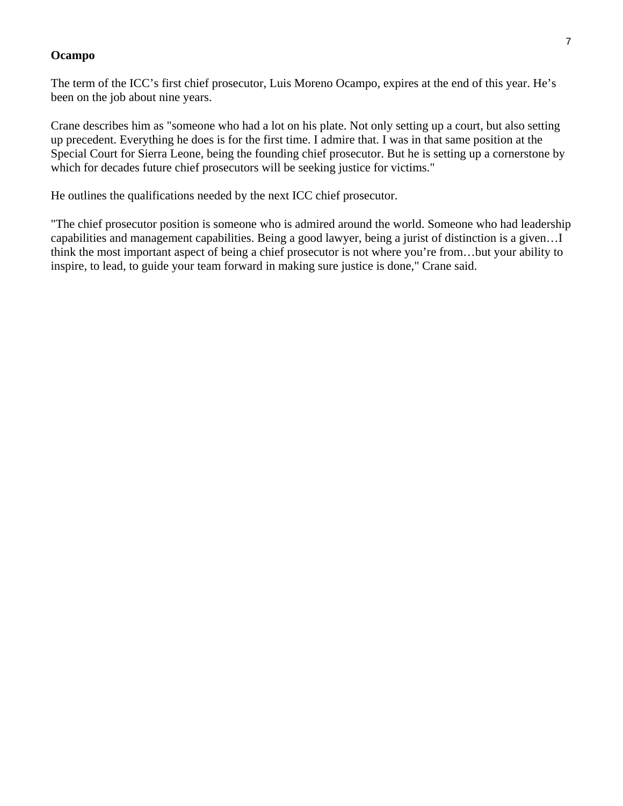#### **Ocampo**

The term of the ICC's first chief prosecutor, Luis Moreno Ocampo, expires at the end of this year. He's been on the job about nine years.

Crane describes him as "someone who had a lot on his plate. Not only setting up a court, but also setting up precedent. Everything he does is for the first time. I admire that. I was in that same position at the Special Court for Sierra Leone, being the founding chief prosecutor. But he is setting up a cornerstone by which for decades future chief prosecutors will be seeking justice for victims."

He outlines the qualifications needed by the next ICC chief prosecutor.

"The chief prosecutor position is someone who is admired around the world. Someone who had leadership capabilities and management capabilities. Being a good lawyer, being a jurist of distinction is a given…I think the most important aspect of being a chief prosecutor is not where you're from…but your ability to inspire, to lead, to guide your team forward in making sure justice is done," Crane said.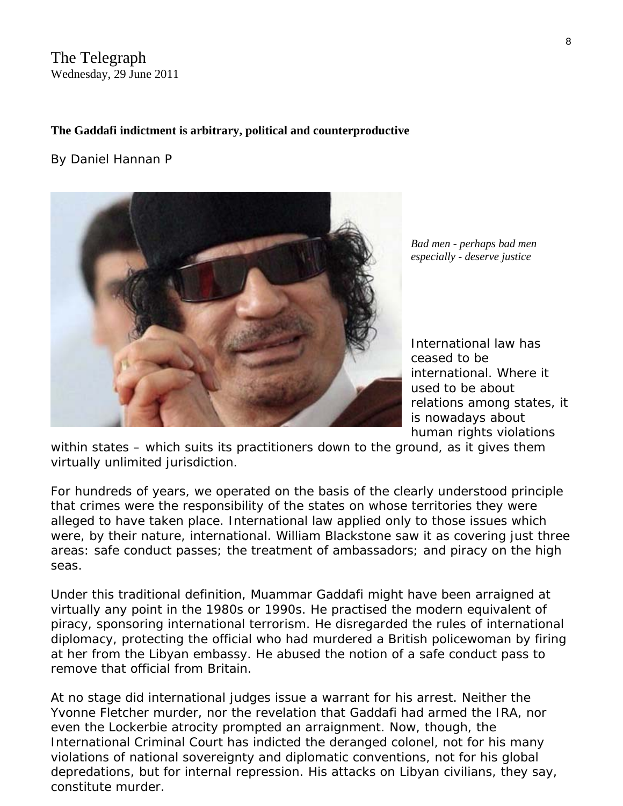## The Telegraph Wednesday, 29 June 2011

## **The Gaddafi indictment is arbitrary, political and counterproductive**

#### By [Daniel Hannan](http://blogs.telegraph.co.uk/news/author/danielhannan/) P



*Bad men - perhaps bad men especially - deserve justice* 

International law has ceased to be international. Where it used to be about relations *among* states, it is nowadays about human rights violations

*within* states – which suits its practitioners down to the ground, as it gives them virtually unlimited jurisdiction.

For hundreds of years, we operated on the basis of the clearly understood principle that crimes were the responsibility of the states on whose territories they were alleged to have taken place. International law applied only to those issues which were, by their nature, international. William Blackstone saw it as covering just three areas: safe conduct passes; the treatment of ambassadors; and piracy on the high seas.

Under this traditional definition, Muammar Gaddafi might have been arraigned at virtually any point in the 1980s or 1990s. He practised the modern equivalent of piracy, sponsoring international terrorism. He disregarded the rules of international diplomacy, protecting the official who had murdered a British policewoman by firing at her from the Libyan embassy. He abused the notion of a safe conduct pass to remove that official from Britain.

At no stage did international judges issue a warrant for his arrest. Neither the Yvonne Fletcher murder, nor the revelation that Gaddafi had armed the IRA, nor even the Lockerbie atrocity prompted an arraignment. Now, though, the International Criminal Court has indicted the deranged colonel, not for his many violations of national sovereignty and diplomatic conventions, not for his global depredations, but for internal repression. His attacks on Libyan civilians, they say, constitute murder.